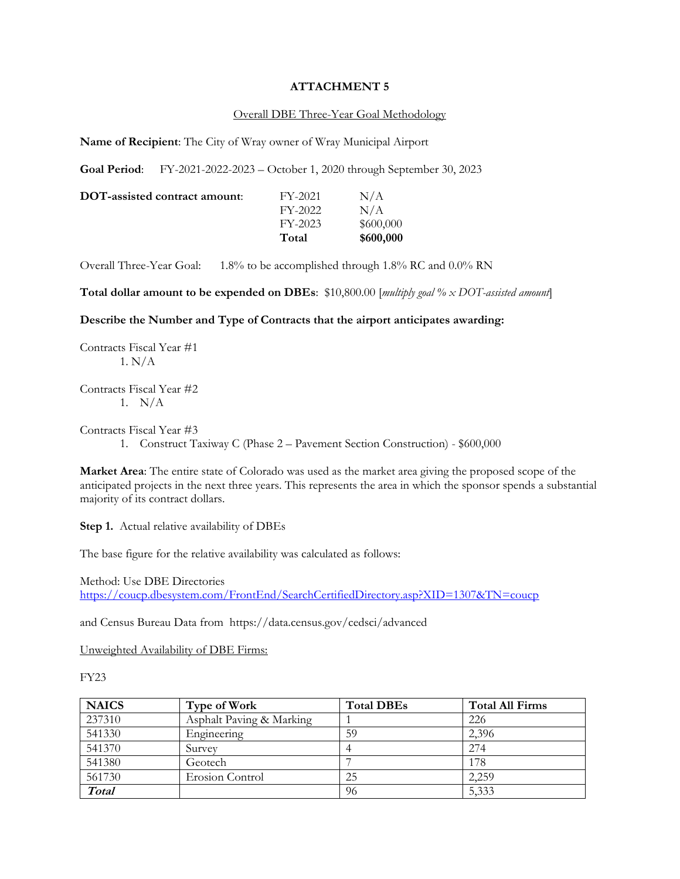## **ATTACHMENT 5**

## Overall DBE Three-Year Goal Methodology

**Name of Recipient**: The City of Wray owner of Wray Municipal Airport

**Goal Period**: FY-2021-2022-2023 – October 1, 2020 through September 30, 2023

|                               | Total     | \$600,000 |
|-------------------------------|-----------|-----------|
|                               | $FY-2023$ | \$600,000 |
|                               | FY-2022   | N/A       |
| DOT-assisted contract amount: | FY-2021   | N/A       |

Overall Three-Year Goal: 1.8% to be accomplished through 1.8% RC and 0.0% RN

**Total dollar amount to be expended on DBEs**: \$10,800.00 [*multiply goal % x DOT-assisted amount*]

#### **Describe the Number and Type of Contracts that the airport anticipates awarding:**

Contracts Fiscal Year #1 1. N/A

Contracts Fiscal Year #2 1. N/A

Contracts Fiscal Year #3

1. Construct Taxiway C (Phase 2 – Pavement Section Construction) - \$600,000

**Market Area**: The entire state of Colorado was used as the market area giving the proposed scope of the anticipated projects in the next three years. This represents the area in which the sponsor spends a substantial majority of its contract dollars.

**Step 1.** Actual relative availability of DBEs

The base figure for the relative availability was calculated as follows:

Method: Use DBE Directories <https://coucp.dbesystem.com/FrontEnd/SearchCertifiedDirectory.asp?XID=1307&TN=coucp>

and Census Bureau Data from <https://data.census.gov/cedsci/advanced>

Unweighted Availability of DBE Firms:

FY23

| <b>NAICS</b> | Type of Work             | <b>Total DBEs</b> | <b>Total All Firms</b> |
|--------------|--------------------------|-------------------|------------------------|
| 237310       | Asphalt Paving & Marking |                   | 226                    |
| 541330       | Engineering              | 59                | 2,396                  |
| 541370       | Survey                   |                   | 274                    |
| 541380       | Geotech                  |                   | 178                    |
| 561730       | Erosion Control          | 25                | 2,259                  |
| <b>Total</b> |                          | 96                | 5,333                  |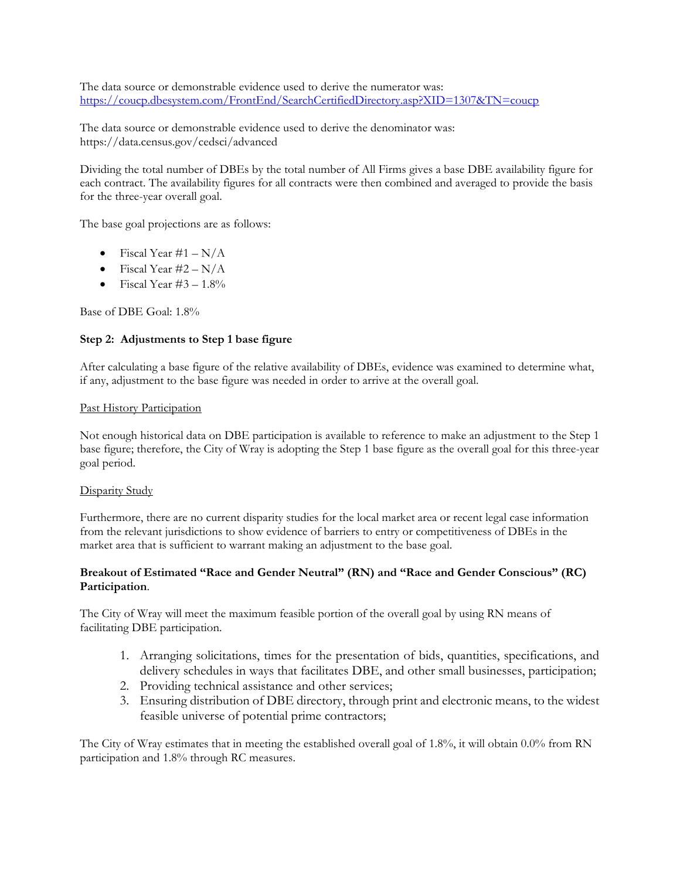The data source or demonstrable evidence used to derive the numerator was: <https://coucp.dbesystem.com/FrontEnd/SearchCertifiedDirectory.asp?XID=1307&TN=coucp>

The data source or demonstrable evidence used to derive the denominator was: <https://data.census.gov/cedsci/advanced>

Dividing the total number of DBEs by the total number of All Firms gives a base DBE availability figure for each contract. The availability figures for all contracts were then combined and averaged to provide the basis for the three-year overall goal.

The base goal projections are as follows:

- Fiscal Year #1  $N/A$
- Fiscal Year  $\#2 N/A$
- Fiscal Year  $\#3 1.8\%$

Base of DBE Goal: 1.8%

## **Step 2: Adjustments to Step 1 base figure**

After calculating a base figure of the relative availability of DBEs, evidence was examined to determine what, if any, adjustment to the base figure was needed in order to arrive at the overall goal.

### Past History Participation

Not enough historical data on DBE participation is available to reference to make an adjustment to the Step 1 base figure; therefore, the City of Wray is adopting the Step 1 base figure as the overall goal for this three-year goal period.

### Disparity Study

Furthermore, there are no current disparity studies for the local market area or recent legal case information from the relevant jurisdictions to show evidence of barriers to entry or competitiveness of DBEs in the market area that is sufficient to warrant making an adjustment to the base goal.

# **Breakout of Estimated "Race and Gender Neutral" (RN) and "Race and Gender Conscious" (RC) Participation**.

The City of Wray will meet the maximum feasible portion of the overall goal by using RN means of facilitating DBE participation.

- 1. Arranging solicitations, times for the presentation of bids, quantities, specifications, and delivery schedules in ways that facilitates DBE, and other small businesses, participation;
- 2. Providing technical assistance and other services;
- 3. Ensuring distribution of DBE directory, through print and electronic means, to the widest feasible universe of potential prime contractors;

The City of Wray estimates that in meeting the established overall goal of 1.8%, it will obtain 0.0% from RN participation and 1.8% through RC measures.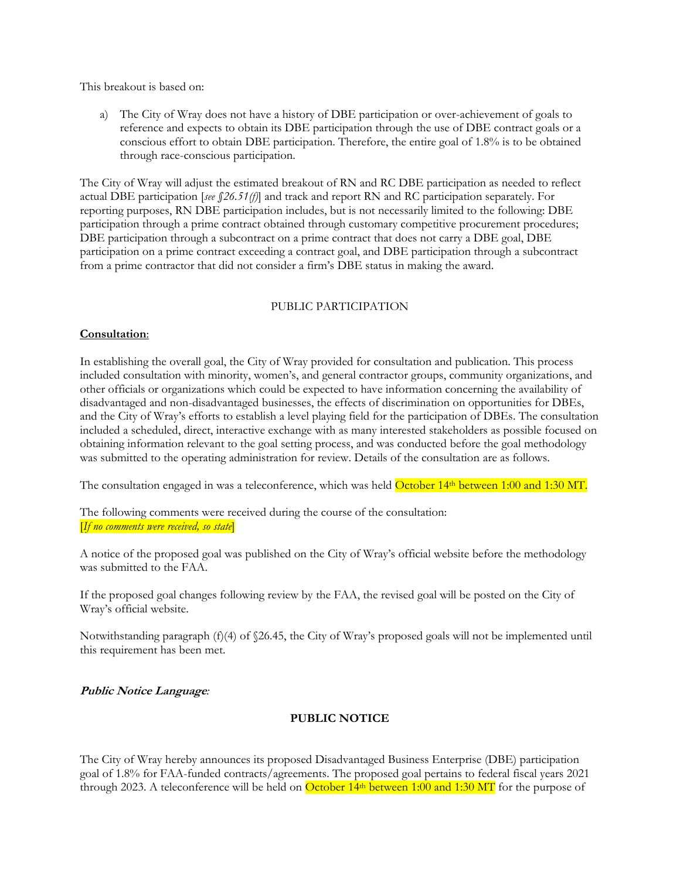This breakout is based on:

a) The City of Wray does not have a history of DBE participation or over-achievement of goals to reference and expects to obtain its DBE participation through the use of DBE contract goals or a conscious effort to obtain DBE participation. Therefore, the entire goal of 1.8% is to be obtained through race-conscious participation.

The City of Wray will adjust the estimated breakout of RN and RC DBE participation as needed to reflect actual DBE participation [*see §26.51(f)*] and track and report RN and RC participation separately. For reporting purposes, RN DBE participation includes, but is not necessarily limited to the following: DBE participation through a prime contract obtained through customary competitive procurement procedures; DBE participation through a subcontract on a prime contract that does not carry a DBE goal, DBE participation on a prime contract exceeding a contract goal, and DBE participation through a subcontract from a prime contractor that did not consider a firm's DBE status in making the award.

## PUBLIC PARTICIPATION

### **Consultation**:

In establishing the overall goal, the City of Wray provided for consultation and publication. This process included consultation with minority, women's, and general contractor groups, community organizations, and other officials or organizations which could be expected to have information concerning the availability of disadvantaged and non-disadvantaged businesses, the effects of discrimination on opportunities for DBEs, and the City of Wray's efforts to establish a level playing field for the participation of DBEs. The consultation included a scheduled, direct, interactive exchange with as many interested stakeholders as possible focused on obtaining information relevant to the goal setting process, and was conducted before the goal methodology was submitted to the operating administration for review. Details of the consultation are as follows.

The consultation engaged in was a teleconference, which was held October 14th between 1:00 and 1:30 MT.

The following comments were received during the course of the consultation: [*If no comments were received, so state*]

A notice of the proposed goal was published on the City of Wray's official website before the methodology was submitted to the FAA.

If the proposed goal changes following review by the FAA, the revised goal will be posted on the City of Wray's official website.

Notwithstanding paragraph (f)(4) of §26.45, the City of Wray's proposed goals will not be implemented until this requirement has been met.

# **Public Notice Language***:*

# **PUBLIC NOTICE**

The City of Wray hereby announces its proposed Disadvantaged Business Enterprise (DBE) participation goal of 1.8% for FAA-funded contracts/agreements. The proposed goal pertains to federal fiscal years 2021 through 2023. A teleconference will be held on **October 14th between 1:00 and 1:30 MT** for the purpose of